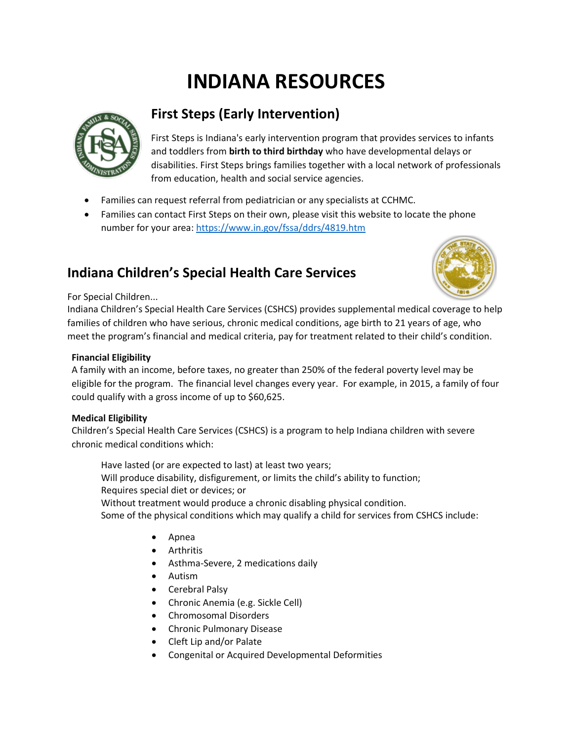# **INDIANA RESOURCES**



## **First Steps (Early Intervention)**

First Steps is Indiana's early intervention program that provides services to infants and toddlers from **birth to third birthday** who have developmental delays or disabilities. First Steps brings families together with a local network of professionals from education, health and social service agencies.

- Families can request referral from pediatrician or any specialists at CCHMC.
- Families can contact First Steps on their own, please visit this website to locate the phone number for your area[: https://www.in.gov/fssa/ddrs/4819.htm](https://www.in.gov/fssa/ddrs/4819.htm)

### **Indiana Children's Special Health Care Services**



#### For Special Children...

Indiana Children's Special Health Care Services (CSHCS) provides supplemental medical coverage to help families of children who have serious, chronic medical conditions, age birth to 21 years of age, who meet the program's financial and medical criteria, pay for treatment related to their child's condition.

#### **Financial Eligibility**

A family with an income, before taxes, no greater than 250% of the federal poverty level may be eligible for the program. The financial level changes every year. For example, in 2015, a family of four could qualify with a gross income of up to \$60,625.

#### **Medical Eligibility**

Children's Special Health Care Services (CSHCS) is a program to help Indiana children with severe chronic medical conditions which:

Have lasted (or are expected to last) at least two years; Will produce disability, disfigurement, or limits the child's ability to function; Requires special diet or devices; or Without treatment would produce a chronic disabling physical condition. Some of the physical conditions which may qualify a child for services from CSHCS include:

- Apnea
- Arthritis
- Asthma-Severe, 2 medications daily
- Autism
- Cerebral Palsy
- Chronic Anemia (e.g. Sickle Cell)
- Chromosomal Disorders
- Chronic Pulmonary Disease
- Cleft Lip and/or Palate
- Congenital or Acquired Developmental Deformities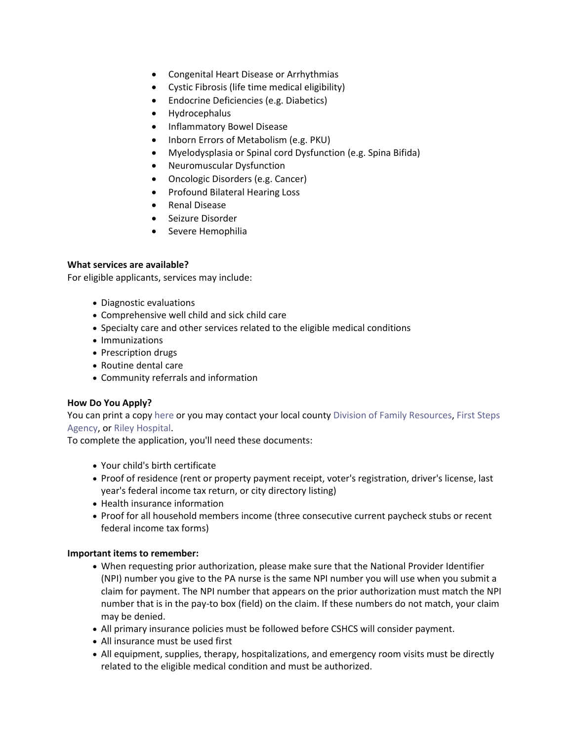- Congenital Heart Disease or Arrhythmias
- Cystic Fibrosis (life time medical eligibility)
- Endocrine Deficiencies (e.g. Diabetics)
- Hydrocephalus
- Inflammatory Bowel Disease
- Inborn Errors of Metabolism (e.g. PKU)
- Myelodysplasia or Spinal cord Dysfunction (e.g. Spina Bifida)
- Neuromuscular Dysfunction
- Oncologic Disorders (e.g. Cancer)
- Profound Bilateral Hearing Loss
- Renal Disease
- Seizure Disorder
- Severe Hemophilia

#### **What services are available?**

For eligible applicants, services may include:

- Diagnostic evaluations
- Comprehensive well child and sick child care
- Specialty care and other services related to the eligible medical conditions
- Immunizations
- Prescription drugs
- Routine dental care
- Community referrals and information

#### **How Do You Apply?**

You can print a copy [here](https://forms.in.gov/Download.aspx?id=5528) or you may contact your local county [Division of Family Resources,](http://www.in.gov/fssa/dfr/2999.htm) First Steps [Agency,](http://www.in.gov/fssa/ddrs/4089.htm) or [Riley Hospital.](http://iuhealth.org/riley/)

To complete the application, you'll need these documents:

- Your child's birth certificate
- Proof of residence (rent or property payment receipt, voter's registration, driver's license, last year's federal income tax return, or city directory listing)
- Health insurance information
- Proof for all household members income (three consecutive current paycheck stubs or recent federal income tax forms)

#### **Important items to remember:**

- When requesting prior authorization, please make sure that the National Provider Identifier (NPI) number you give to the PA nurse is the same NPI number you will use when you submit a claim for payment. The NPI number that appears on the prior authorization must match the NPI number that is in the pay-to box (field) on the claim. If these numbers do not match, your claim may be denied.
- All primary insurance policies must be followed before CSHCS will consider payment.
- All insurance must be used first
- All equipment, supplies, therapy, hospitalizations, and emergency room visits must be directly related to the eligible medical condition and must be authorized.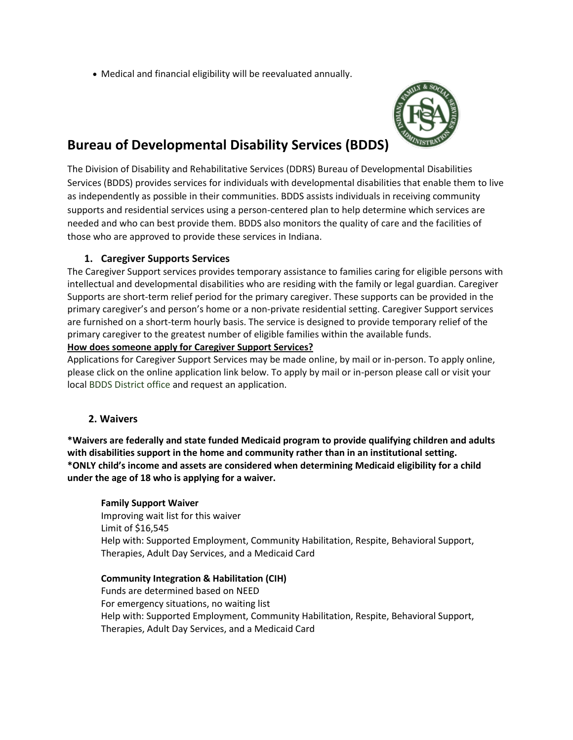Medical and financial eligibility will be reevaluated annually.



### **Bureau of Developmental Disability Services (BDDS)**

The Division of Disability and Rehabilitative Services (DDRS) Bureau of Developmental Disabilities Services (BDDS) provides services for individuals with developmental disabilities that enable them to live as independently as possible in their communities. BDDS assists individuals in receiving community supports and residential services using a person-centered plan to help determine which services are needed and who can best provide them. BDDS also monitors the quality of care and the facilities of those who are approved to provide these services in Indiana.

#### **1. Caregiver Supports Services**

The Caregiver Support services provides temporary assistance to families caring for eligible persons with intellectual and developmental disabilities who are residing with the family or legal guardian. Caregiver Supports are short-term relief period for the primary caregiver. These supports can be provided in the primary caregiver's and person's home or a non-private residential setting. Caregiver Support services are furnished on a short-term hourly basis. The service is designed to provide temporary relief of the primary caregiver to the greatest number of eligible families within the available funds.

#### **How does someone apply for Caregiver Support Services?**

Applications for Caregiver Support Services may be made online, by mail or in-person. To apply online, please click on the online application link below. To apply by mail or in-person please call or visit your local [BDDS District office a](http://www.in.gov/fssa/ddrs/4088.htm)nd request an application.

#### **2. Waivers**

**\*Waivers are federally and state funded Medicaid program to provide qualifying children and adults with disabilities support in the home and community rather than in an institutional setting. \*ONLY child's income and assets are considered when determining Medicaid eligibility for a child under the age of 18 who is applying for a waiver.**

#### **Family Support Waiver**

Improving wait list for this waiver Limit of \$16,545 Help with: Supported Employment, Community Habilitation, Respite, Behavioral Support, Therapies, Adult Day Services, and a Medicaid Card

#### **Community Integration & Habilitation (CIH)**

Funds are determined based on NEED For emergency situations, no waiting list Help with: Supported Employment, Community Habilitation, Respite, Behavioral Support, Therapies, Adult Day Services, and a Medicaid Card